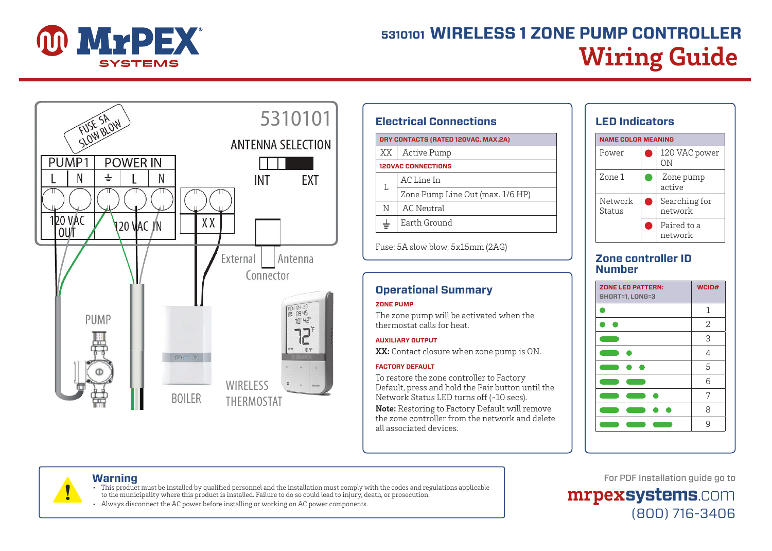

# **Wiring Guide 5310101 WIRELESS 1 ZONE PUMP CONTROLLER**



| <b>Electrical Connections</b>       |  |  |
|-------------------------------------|--|--|
| DRY CONTACTS (RATED 120VAC, MAX.2A) |  |  |
| Active Pump                         |  |  |
| <b>120VAC CONNECTIONS</b>           |  |  |
| AC Line In                          |  |  |
| Zone Pump Line Out (max. 1/6 HP)    |  |  |
| AC Neutral                          |  |  |
| Earth Ground                        |  |  |
|                                     |  |  |

Fuse: 5A slow blow, 5x15mm (2AG)

# **Operational Summary**

# **ZONE PUMP**

The zone pump will be activated when the thermostat calls for heat.

## **AUXILIARY OUTPUT**

**XX:** Contact closure when zone pump is ON.

## **FACTORY DEFAULT**

To restore the zone controller to Factory Default, press and hold the Pair button until the Network Status LED turns off (~10 secs). **Note:** Restoring to Factory Default will remove the zone controller from the network and delete all associated devices.



# **Zone controller ID Number**

| <b>ZONE LED PATTERN:</b><br>SHORT=1, LONG=3                                                                           | WCID#          |
|-----------------------------------------------------------------------------------------------------------------------|----------------|
|                                                                                                                       | 1              |
|                                                                                                                       | 2              |
|                                                                                                                       | 3              |
|                                                                                                                       | $\overline{4}$ |
|                                                                                                                       | 5              |
| <b>Service Service</b>                                                                                                | 6              |
|                                                                                                                       | 7              |
|                                                                                                                       | 8              |
| <b>Contract Contract Contract Contract Contract Contract Contract Contract Contract Contract Contract Contract Co</b> | 9              |

# **Warning**

- This product must be installed by qualified personnel and the installation must comply with the codes and regulations applicable
- to the municipality where this product is installed. Failure to do so could lead to injury, death, or prosecution.
- Always disconnect the AC power before installing or working on AC power components.

# For PDF Installation guide go to

**mrpexsystems**.com (800) 716-3406